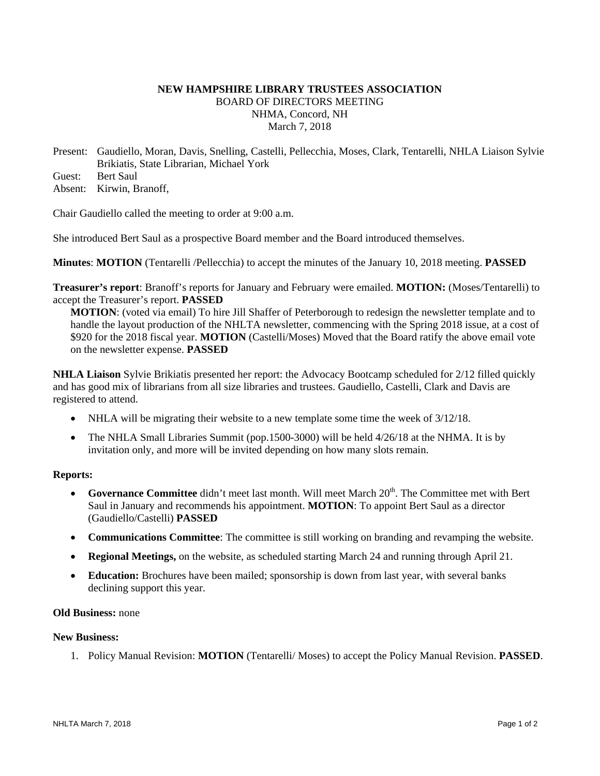# **NEW HAMPSHIRE LIBRARY TRUSTEES ASSOCIATION**  BOARD OF DIRECTORS MEETING NHMA, Concord, NH March 7, 2018

Present: Gaudiello, Moran, Davis, Snelling, Castelli, Pellecchia, Moses, Clark, Tentarelli, NHLA Liaison Sylvie Brikiatis, State Librarian, Michael York Guest: Bert Saul

Absent: Kirwin, Branoff,

Chair Gaudiello called the meeting to order at 9:00 a.m.

She introduced Bert Saul as a prospective Board member and the Board introduced themselves.

**Minutes**: **MOTION** (Tentarelli /Pellecchia) to accept the minutes of the January 10, 2018 meeting. **PASSED**

**Treasurer's report**: Branoff's reports for January and February were emailed. **MOTION:** (Moses/Tentarelli) to accept the Treasurer's report. **PASSED**

**MOTION**: (voted via email) To hire Jill Shaffer of Peterborough to redesign the newsletter template and to handle the layout production of the NHLTA newsletter, commencing with the Spring 2018 issue, at a cost of \$920 for the 2018 fiscal year. **MOTION** (Castelli/Moses) Moved that the Board ratify the above email vote on the newsletter expense. **PASSED**

**NHLA Liaison** Sylvie Brikiatis presented her report: the Advocacy Bootcamp scheduled for 2/12 filled quickly and has good mix of librarians from all size libraries and trustees. Gaudiello, Castelli, Clark and Davis are registered to attend.

- NHLA will be migrating their website to a new template some time the week of 3/12/18.
- The NHLA Small Libraries Summit (pop.1500-3000) will be held 4/26/18 at the NHMA. It is by invitation only, and more will be invited depending on how many slots remain.

# **Reports:**

- **Governance Committee** didn't meet last month. Will meet March 20<sup>th</sup>. The Committee met with Bert Saul in January and recommends his appointment. **MOTION**: To appoint Bert Saul as a director (Gaudiello/Castelli) **PASSED**
- **Communications Committee**: The committee is still working on branding and revamping the website.
- **Regional Meetings,** on the website, as scheduled starting March 24 and running through April 21.
- **Education:** Brochures have been mailed; sponsorship is down from last year, with several banks declining support this year.

# **Old Business:** none

# **New Business:**

1. Policy Manual Revision: **MOTION** (Tentarelli/ Moses) to accept the Policy Manual Revision. **PASSED**.